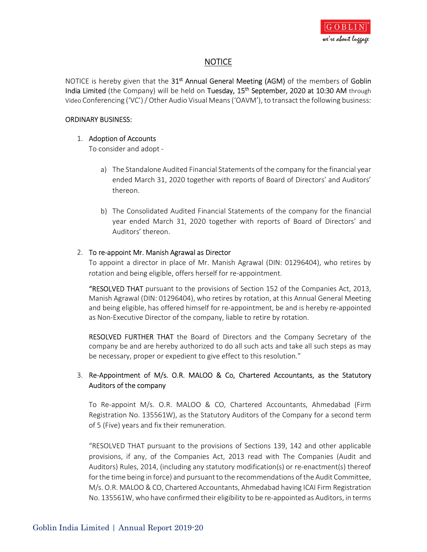

## **NOTICE**

NOTICE is hereby given that the  $31<sup>st</sup>$  Annual General Meeting (AGM) of the members of Goblin India Limited (the Company) will be held on Tuesday, 15<sup>th</sup> September, 2020 at 10:30 AM through Video Conferencing ('VC') / Other Audio Visual Means ('OAVM'), to transact the following business:

#### ORDINARY BUSINESS:

#### 1. Adoption of Accounts

- To consider and adopt -<br>a) The Standalone Audited Financial Statements of the company for the financial year ended March 31, 2020 together with reports of Board of Directors' and Auditors' thereon.
	- b) The Consolidated Audited Financial Statements of the company for the financial year ended March 31, 2020 together with reports of Board of Directors' and Auditors' thereon.

#### 2. To re-appoint Mr. Manish Agrawal as Director

To appoint a director in place of Mr. Manish Agrawal (DIN: 01296404), who retires by rotation and being eligible, offers herself for re-appointment.

"RESOLVED THAT pursuant to the provisions of Section 152 of the Companies Act, 2013, Manish Agrawal (DIN: 01296404), who retires by rotation, at this Annual General Meeting and being eligible, has offered himself for re-appointment, be and is hereby re-appointed as Non-Executive Director of the company, liable to retire by rotation.

RESOLVED FURTHER THAT the Board of Directors and the Company Secretary of the company be and are hereby authorized to do all such acts and take all such steps as may be necessary, proper or expedient to give effect to this resolution."

## 3. Re-Appointment of M/s. O.R. MALOO & Co, Chartered Accountants, as the Statutory Auditors of the company

 To Re-appoint M/s. O.R. MALOO & CO, Chartered Accountants, Ahmedabad (Firm Registration No. 135561W), as the Statutory Auditors of the Company for a second term of 5 (Five) years and fix their remuneration.

"RESOLVED THAT pursuant to the provisions of Sections 139, 142 and other applicable provisions, if any, of the Companies Act, 2013 read with The Companies (Audit and Auditors) Rules, 2014, (including any statutory modification(s) or re-enactment(s) thereof for the time being in force) and pursuant to the recommendations of the Audit Committee, M/s. O.R. MALOO & CO, Chartered Accountants, Ahmedabad having ICAI Firm Registration No. 135561W, who have confirmed their eligibility to be re-appointed as Auditors, in terms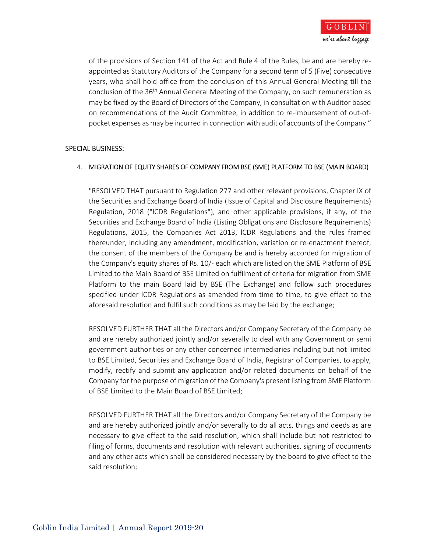

of the provisions of Section 141 of the Act and Rule 4 of the Rules, be and are hereby reappointed as Statutory Auditors of the Company for a second term of 5 (Five) consecutive years, who shall hold office from the conclusion of this Annual General Meeting till the conclusion of the 36th Annual General Meeting of the Company, on such remuneration as may be fixed by the Board of Directors of the Company, in consultation with Auditor based on recommendations of the Audit Committee, in addition to re-imbursement of out-ofpocket expenses as may be incurred in connection with audit of accounts of the Company."

#### SPECIAL BUSINESS:

#### 4. MIGRATION OF EQUITY SHARES OF COMPANY FROM BSE (SME) PLATFORM TO BSE (MAIN BOARD)

 "RESOLVED THAT pursuant to Regulation 277 and other relevant provisions, Chapter IX of the Securities and Exchange Board of India (Issue of Capital and Disclosure Requirements) Regulation, 2018 ("lCDR Regulations"), and other applicable provisions, if any, of the Securities and Exchange Board of India (Listing Obligations and Disclosure Requirements) Regulations, 2015, the Companies Act 2013, lCDR Regulations and the rules framed thereunder, including any amendment, modification, variation or re-enactment thereof, the consent of the members of the Company be and is hereby accorded for migration of the Company's equity shares of Rs. 10/- each which are listed on the SME Platform of BSE Limited to the Main Board of BSE Limited on fulfilment of criteria for migration from SME Platform to the main Board laid by BSE (The Exchange) and follow such procedures specified under lCDR Regulations as amended from time to time, to give effect to the aforesaid resolution and fulfil such conditions as may be laid by the exchange;

RESOLVED FURTHER THAT all the Directors and/or Company Secretary of the Company be and are hereby authorized jointly and/or severally to deal with any Government or semi government authorities or any other concerned intermediaries including but not limited to BSE Limited, Securities and Exchange Board of India, Registrar of Companies, to apply, modify, rectify and submit any application and/or related documents on behalf of the Company for the purpose of migration of the Company's present listing from SME Platform of BSE Limited to the Main Board of BSE Limited;

RESOLVED FURTHER THAT all the Directors and/or Company Secretary of the Company be and are hereby authorized jointly and/or severally to do all acts, things and deeds as are necessary to give effect to the said resolution, which shall include but not restricted to filing of forms, documents and resolution with relevant authorities, signing of documents and any other acts which shall be considered necessary by the board to give effect to the said resolution;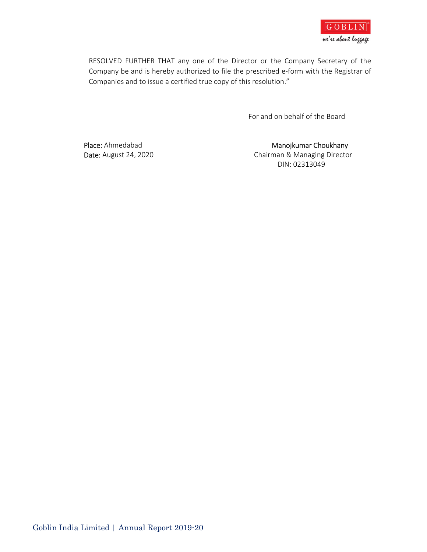

RESOLVED FURTHER THAT any one of the Director or the Company Secretary of the Company be and is hereby authorized to file the prescribed e-form with the Registrar of Companies and to issue a certified true copy of this resolution."

For and on behalf of the Board

Place: Ahmedabad Manojkumar Choukhany Date: August 24, 2020 **Chairman & Managing Director** DIN: 02313049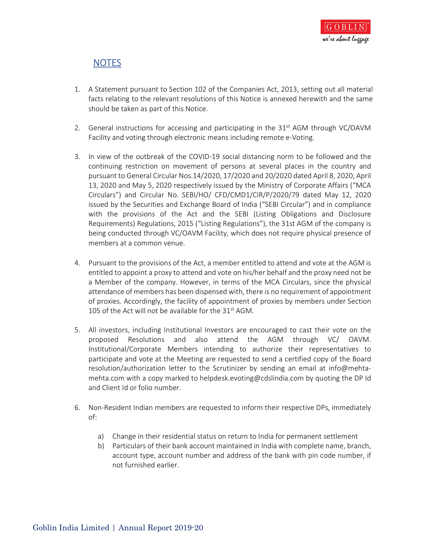

# NOTES

- 1. A Statement pursuant to Section 102 of the Companies Act, 2013, setting out all material facts relating to the relevant resolutions of this Notice is annexed herewith and the same should be taken as part of this Notice.
- 2. General instructions for accessing and participating in the  $31<sup>st</sup>$  AGM through VC/OAVM Facility and voting through electronic means including remote e-Voting.
- 3. In view of the outbreak of the COVID-19 social distancing norm to be followed and the continuing restriction on movement of persons at several places in the country and pursuant to General Circular Nos.14/2020, 17/2020 and 20/2020 dated April 8, 2020, April 13, 2020 and May 5, 2020 respectively issued by the Ministry of Corporate Affairs ("MCA Circulars") and Circular No. SEBI/HO/ CFD/CMD1/CIR/P/2020/79 dated May 12, 2020 issued by the Securities and Exchange Board of India ("SEBI Circular") and in compliance with the provisions of the Act and the SEBI (Listing Obligations and Disclosure Requirements) Regulations, 2015 ("Listing Regulations"), the 31st AGM of the company is being conducted through VC/OAVM Facility, which does not require physical presence of members at a common venue.
- 4. Pursuant to the provisions of the Act, a member entitled to attend and vote at the AGM is entitled to appoint a proxy to attend and vote on his/her behalf and the proxy need not be a Member of the company. However, in terms of the MCA Circulars, since the physical attendance of members has been dispensed with, there is no requirement of appointment of proxies. Accordingly, the facility of appointment of proxies by members under Section 105 of the Act will not be available for the 31<sup>st</sup> AGM.
- 5. All investors, including Institutional Investors are encouraged to cast their vote on the proposed Resolutions and also attend the AGM through VC/ OAVM. Institutional/Corporate Members intending to authorize their representatives to participate and vote at the Meeting are requested to send a certified copy of the Board resolution/authorization letter to the Scrutinizer by sending an email at info@mehtamehta.com with a copy marked to helpdesk.evoting@cdslindia.com by quoting the DP Id and Client Id or folio number.
- 6. Non-Resident Indian members are requested to inform their respective DPs, immediately of:
	- a) Change in their residential status on return to India for permanent settlement
	- b) Particulars of their bank account maintained in India with complete name, branch, account type, account number and address of the bank with pin code number, if not furnished earlier.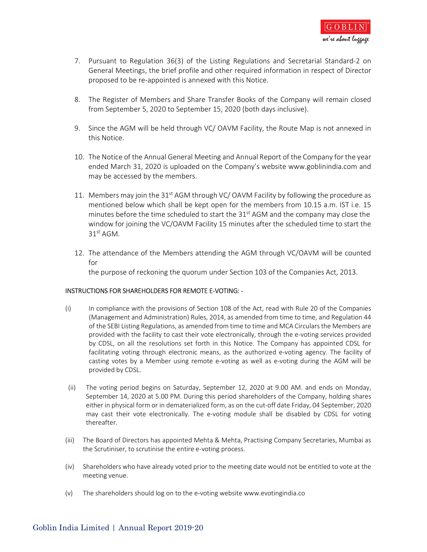

- 7. Pursuant to Regulation 36(3) of the Listing Regulations and Secretarial Standard-2 on General Meetings, the brief profile and other required information in respect of Director proposed to be re-appointed is annexed with this Notice.
- 8. The Register of Members and Share Transfer Books of the Company will remain closed from September 5, 2020 to September 15, 2020 (both days inclusive).
- 9. Since the AGM will be held through VC/ OAVM Facility, the Route Map is not annexed in this Notice.
- 10. The Notice of the Annual General Meeting and Annual Report of the Company for the year ended March 31, 2020 is uploaded on the Company's website www.goblinindia.com and may be accessed by the members.
- 11. Members may join the 31<sup>st</sup> AGM through VC/ OAVM Facility by following the procedure as mentioned below which shall be kept open for the members from 10.15 a.m. IST i.e. 15 minutes before the time scheduled to start the 31<sup>st</sup> AGM and the company may close the window for joining the VC/OAVM Facility 15 minutes after the scheduled time to start the 31<sup>st</sup> AGM.
- 12. The attendance of the Members attending the AGM through VC/OAVM will be counted for the purpose of reckoning the quorum under Section 103 of the Companies Act, 2013.

#### INSTRUCTIONS FOR SHAREHOLDERS FOR REMOTE E-VOTING: -

- (i) In compliance with the provisions of Section 108 of the Act, read with Rule 20 of the Companies (Management and Administration) Rules, 2014, as amended from time to time, and Regulation 44 of the SEBI Listing Regulations, as amended from time to time and MCA Circulars the Members are provided with the facility to cast their vote electronically, through the e-voting services provided by CDSL, on all the resolutions set forth in this Notice. The Company has appointed CDSL for facilitating voting through electronic means, as the authorized e-voting agency. The facility of casting votes by a Member using remote e-voting as well as e-voting during the AGM will be provided by CDSL.
- (ii) The voting period begins on Saturday, September 12, 2020 at 9.00 AM. and ends on Monday, September 14, 2020 at 5.00 PM. During this period shareholders of the Company, holding shares either in physical form or in dematerialized form, as on the cut-off date Friday, 04 September, 2020 may cast their vote electronically. The e-voting module shall be disabled by CDSL for voting thereafter.
- (iii) The Board of Directors has appointed Mehta & Mehta, Practising Company Secretaries, Mumbai as the Scrutiniser, to scrutinise the entire e-voting process.
- (iv) Shareholders who have already voted prior to the meeting date would not be entitled to vote at the meeting venue.
- (v) The shareholders should log on to the e-voting website www.evotingindia.co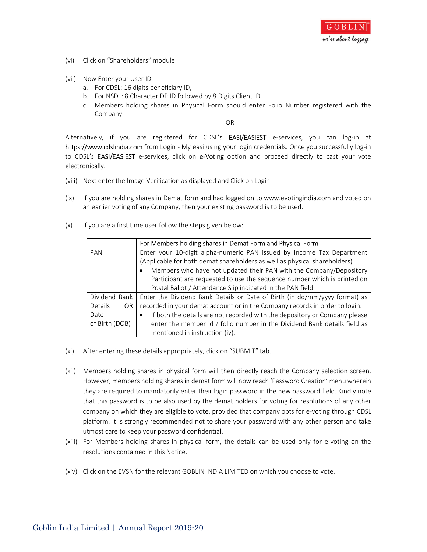

- (vi) Click on "Shareholders" module
- (vii) Now Enter your User ID
	- a. For CDSL: 16 digits beneficiary ID,
	- b. For NSDL: 8 Character DP ID followed by 8 Digits Client ID,
	- c. Members holding shares in Physical Form should enter Folio Number registered with the Company.

OR

Alternatively, if you are registered for CDSL's EASI/EASIEST e-services, you can log-in at https://www.cdslindia.com from Login - My easi using your login credentials. Once you successfully log-in to CDSL's EASI/EASIEST e-services, click on e-Voting option and proceed directly to cast your vote electronically.

- (viii) Next enter the Image Verification as displayed and Click on Login.
- (ix) If you are holding shares in Demat form and had logged on to www.evotingindia.com and voted on an earlier voting of any Company, then your existing password is to be used.
- (x) If you are a first time user follow the steps given below:

|                | For Members holding shares in Demat Form and Physical Form                              |  |
|----------------|-----------------------------------------------------------------------------------------|--|
| PAN            | Enter your 10-digit alpha-numeric PAN issued by Income Tax Department                   |  |
|                | (Applicable for both demat shareholders as well as physical shareholders)               |  |
|                | Members who have not updated their PAN with the Company/Depository<br>$\bullet$         |  |
|                | Participant are requested to use the sequence number which is printed on                |  |
|                | Postal Ballot / Attendance Slip indicated in the PAN field.                             |  |
| Dividend Bank  | Enter the Dividend Bank Details or Date of Birth (in dd/mm/yyyy format) as              |  |
| Details<br>OR. | recorded in your demat account or in the Company records in order to login.             |  |
| Date           | If both the details are not recorded with the depository or Company please<br>$\bullet$ |  |
| of Birth (DOB) | enter the member id / folio number in the Dividend Bank details field as                |  |
|                | mentioned in instruction (iv).                                                          |  |

- $(xi)$  After entering these details appropriately, click on "SUBMIT" tab.
- (xii) Members holding shares in physical form will then directly reach the Company selection screen. However, members holding shares in demat form will now reach 'Password Creation' menu wherein they are required to mandatorily enter their login password in the new password field. Kindly note that this password is to be also used by the demat holders for voting for resolutions of any other company on which they are eligible to vote, provided that company opts for e-voting through CDSL platform. It is strongly recommended not to share your password with any other person and take utmost care to keep your password confidential.
- (xiii) For Members holding shares in physical form, the details can be used only for e-voting on the resolutions contained in this Notice.
- (xiv) Click on the EVSN for the relevant GOBLIN INDIA LIMITED on which you choose to vote.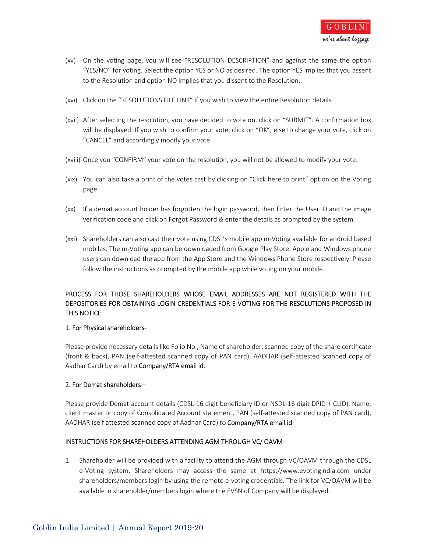- (xv) On the voting page, you will see "RESOLUTION DESCRIPTION" and against the same the option "YES/NO" for voting. Select the option YES or NO as desired. The option YES implies that you assent to the Resolution and option NO implies that you dissent to the Resolution.
- (xvi) Click on the "RESOLUTIONS FILE LINK" if you wish to view the entire Resolution details.
- (xvii) After selecting the resolution, you have decided to vote on, click on "SUBMIT". A confirmation box will be displayed. If you wish to confirm your vote, click on "OK", else to change your vote, click on "CANCEL" and accordingly modify your vote.
- (xviii) Once you "CONFIRM" your vote on the resolution, you will not be allowed to modify your vote.
- (xix) You can also take a print of the votes cast by clicking on "Click here to print" option on the Voting page.
- (xx) If a demat account holder has forgotten the login password, then Enter the User ID and the image verification code and click on Forgot Password & enter the details as prompted by the system.
- (xxi) Shareholders can also cast their vote using CDSL's mobile app m-Voting available for android based mobiles. The m-Voting app can be downloaded from Google Play Store. Apple and Windows phone users can download the app from the App Store and the Windows Phone Store respectively. Please follow the instructions as prompted by the mobile app while voting on your mobile.

### PROCESS FOR THOSE SHAREHOLDERS WHOSE EMAIL ADDRESSES ARE NOT REGISTERED WITH THE DEPOSITORIES FOR OBTAINING LOGIN CREDENTIALS FOR E-VOTING FOR THE RESOLUTIONS PROPOSED IN THIS NOTICE

#### 1. For Physical shareholders-

 Please provide necessary details like Folio No., Name of shareholder, scanned copy of the share certificate (front & back), PAN (self-attested scanned copy of PAN card), AADHAR (self-attested scanned copy of Aadhar Card) by email to Company/RTA email id.

#### 2. For Demat shareholders –

 Please provide Demat account details (CDSL-16 digit beneficiary ID or NSDL-16 digit DPID + CLID), Name, client master or copy of Consolidated Account statement, PAN (self-attested scanned copy of PAN card), AADHAR (self attested scanned copy of Aadhar Card) to Company/RTA email id.

#### INSTRUCTIONS FOR SHAREHOLDERS ATTENDING AGM THROUGH VC/ OAVM

 1. Shareholder will be provided with a facility to attend the AGM through VC/OAVM through the CDSL e-Voting system. Shareholders may access the same at https://www.evotingindia.com under shareholders/members login by using the remote e-voting credentials. The link for VC/OAVM will be available in shareholder/members login where the EVSN of Company will be displayed.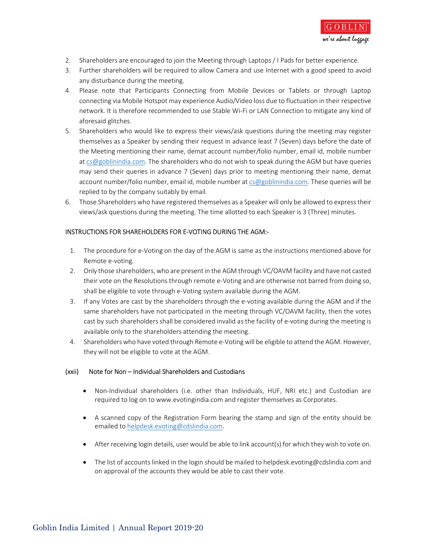

- 2. Shareholders are encouraged to join the Meeting through Laptops / I Pads for better experience.
- 3. Further shareholders will be required to allow Camera and use Internet with a good speed to avoid any disturbance during the meeting.
- 4. Please note that Participants Connecting from Mobile Devices or Tablets or through Laptop connecting via Mobile Hotspot may experience Audio/Video loss due to fluctuation in their respective network. It is therefore recommended to use Stable Wi-Fi or LAN Connection to mitigate any kind of aforesaid glitches.
- 5. Shareholders who would like to express their views/ask questions during the meeting may register themselves as a Speaker by sending their request in advance least 7 (Seven) days before the date of the Meeting mentioning their name, demat account number/folio number, email id, mobile number at cs@goblinindia.com. The shareholders who do not wish to speak during the AGM but have queries may send their queries in advance 7 (Seven) days prior to meeting mentioning their name, demat account number/folio number, email id, mobile number at cs@goblinindia.com. These queries will be replied to by the company suitably by email.
- 6. Those Shareholders who have registered themselves as a Speaker will only be allowed to express their views/ask questions during the meeting. The time allotted to each Speaker is 3 (Three) minutes.

#### INSTRUCTIONS FOR SHAREHOLDERS FOR E-VOTING DURING THE AGM:-

- 1. The procedure for e-Voting on the day of the AGM is same as the instructions mentioned above for Remote e-voting.
- 2. Only those shareholders, who are present in the AGM through VC/OAVM facility and have not casted their vote on the Resolutions through remote e-Voting and are otherwise not barred from doing so, shall be eligible to vote through e-Voting system available during the AGM.
- 3. If any Votes are cast by the shareholders through the e-voting available during the AGM and if the same shareholders have not participated in the meeting through VC/OAVM facility, then the votes cast by such shareholders shall be considered invalid as the facility of e-voting during the meeting is available only to the shareholders attending the meeting.
- 4. Shareholders who have voted through Remote e-Voting will be eligible to attend the AGM. However, they will not be eligible to vote at the AGM.

#### (xxii) Note for Non – Individual Shareholders and Custodians

- Non-Individual shareholders (i.e. other than Individuals, HUF, NRI etc.) and Custodian are required to log on to www.evotingindia.com and register themselves as Corporates.
- A scanned copy of the Registration Form bearing the stamp and sign of the entity should be emailed to helpdesk.evoting@cdslindia.com.
- After receiving login details, user would be able to link account(s) for which they wish to vote on.
- The list of accounts linked in the login should be mailed to helpdesk.evoting@cdslindia.com and on approval of the accounts they would be able to cast their vote.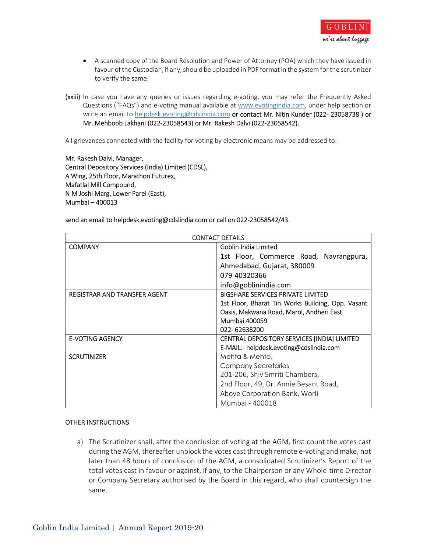

- A scanned copy of the Board Resolution and Power of Attorney (POA) which they have issued in favour of the Custodian, if any, should be uploaded in PDF format in the system for the scrutinizer to verify the same.
- (xxiii) In case you have any queries or issues regarding e-voting, you may refer the Frequently Asked Questions ("FAQs") and e-voting manual available at www.evotingindia.com, under help section or write an email to helpdesk.evoting@cdslindia.com or contact Mr. Nitin Kunder (022- 23058738 ) or Mr. Mehboob Lakhani (022-23058543) or Mr. Rakesh Dalvi (022-23058542).

All grievances connected with the facility for voting by electronic means may be addressed to:

 Mr. Rakesh Dalvi, Manager, Central Depository Services (India) Limited (CDSL), A Wing, 25th Floor, Marathon Futurex, Mafatlal Mill Compound, N M Joshi Marg, Lower Parel (East), Mumbai – 400013

#### send an email to helpdesk.evoting@cdslindia.com or call on 022-23058542/43.

|                              | <b>CONTACT DETAILS</b>                            |
|------------------------------|---------------------------------------------------|
| <b>COMPANY</b>               | Goblin India Limited                              |
|                              | 1st Floor, Commerce Road, Navrangpura,            |
|                              | Ahmedabad, Gujarat, 380009                        |
|                              | 079-40320366                                      |
|                              | info@goblinindia.com                              |
| REGISTRAR AND TRANSFER AGENT | <b>BIGSHARE SERVICES PRIVATE LIMITED</b>          |
|                              | 1st Floor, Bharat Tin Works Building, Opp. Vasant |
|                              | Oasis, Makwana Road, Marol, Andheri East          |
|                              | Mumbai 400059                                     |
|                              | 022-62638200                                      |
| <b>E-VOTING AGENCY</b>       | CENTRAL DEPOSITORY SERVICES [INDIA] LIMITED       |
|                              | E-MAIL:- helpdesk.evoting@cdslindia.com           |
| <b>SCRUTINIZER</b>           | Mehta & Mehta,                                    |
|                              | Company Secretaries                               |
|                              | 201-206, Shiv Smriti Chambers,                    |
|                              | 2nd Floor, 49, Dr. Annie Besant Road,             |
|                              | Above Corporation Bank, Worli                     |
|                              | Mumbai - 400018                                   |

#### OTHER INSTRUCTIONS

a) The Scrutinizer shall, after the conclusion of voting at the AGM, first count the votes cast during the AGM, thereafter unblock the votes cast through remote e-voting and make, not later than 48 hours of conclusion of the AGM, a consolidated Scrutinizer's Report of the total votes cast in favour or against, if any, to the Chairperson or any Whole-time Director or Company Secretary authorised by the Board in this regard, who shall countersign the same.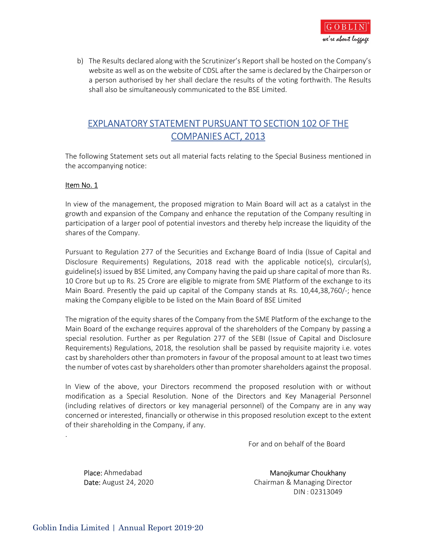

b) The Results declared along with the Scrutinizer's Report shall be hosted on the Company's website as well as on the website of CDSL after the same is declared by the Chairperson or a person authorised by her shall declare the results of the voting forthwith. The Results shall also be simultaneously communicated to the BSE Limited.

# EXPLANATORY STATEMENT PURSUANT TO SECTION 102 OF THE COMPANIES ACT, 2013

The following Statement sets out all material facts relating to the Special Business mentioned in the accompanying notice:

#### Item No. 1

 In view of the management, the proposed migration to Main Board will act as a catalyst in the growth and expansion of the Company and enhance the reputation of the Company resulting in participation of a larger pool of potential investors and thereby help increase the liquidity of the shares of the Company.

Pursuant to Regulation 277 of the Securities and Exchange Board of India (Issue of Capital and Disclosure Requirements) Regulations, 2018 read with the applicable notice(s), circular(s), guideline(s) issued by BSE Limited, any Company having the paid up share capital of more than Rs. 10 Crore but up to Rs. 25 Crore are eligible to migrate from SME Platform of the exchange to its Main Board. Presently the paid up capital of the Company stands at Rs. 10,44,38,760/-; hence making the Company eligible to be listed on the Main Board of BSE Limited

The migration of the equity shares of the Company from the SME Platform of the exchange to the Main Board of the exchange requires approval of the shareholders of the Company by passing a special resolution. Further as per Regulation 277 of the SEBI (Issue of Capital and Disclosure Requirements) Regulations, 2018, the resolution shall be passed by requisite majority i.e. votes cast by shareholders other than promoters in favour of the proposal amount to at least two times the number of votes cast by shareholders other than promoter shareholders against the proposal.

In View of the above, your Directors recommend the proposed resolution with or without modification as a Special Resolution. None of the Directors and Key Managerial Personnel (including relatives of directors or key managerial personnel) of the Company are in any way concerned or interested, financially or otherwise in this proposed resolution except to the extent of their shareholding in the Company, if any.<br>.<br>For and on behalf of the Board

Place: Ahmedabad Manojkumar Choukhany<br>Date: August 24, 2020 Chairman & Managing Director DIN : 02313049